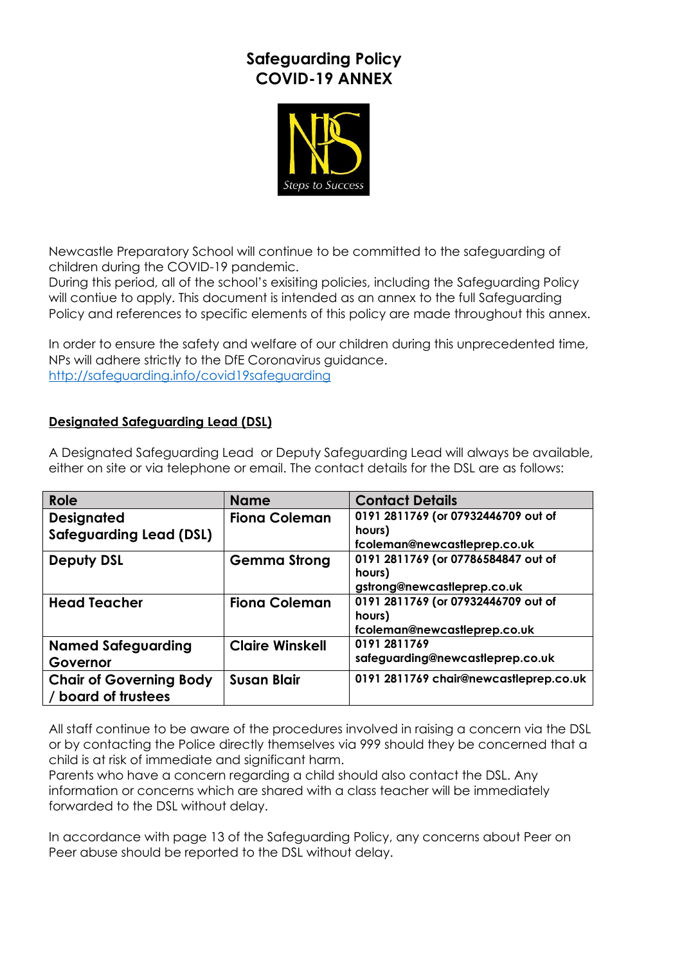# **Safeguarding Policy COVID-19 ANNEX**



Newcastle Preparatory School will continue to be committed to the safeguarding of children during the COVID-19 pandemic.

During this period, all of the school's exisiting policies, including the Safeguarding Policy will contiue to apply. This document is intended as an annex to the full Safeguarding Policy and references to specific elements of this policy are made throughout this annex.

In order to ensure the safety and welfare of our children during this unprecedented time, NPs will adhere strictly to the DfE Coronavirus guidance. <http://safeguarding.info/covid19safeguarding>

## **Designated Safeguarding Lead (DSL)**

A Designated Safeguarding Lead or Deputy Safeguarding Lead will always be available, either on site or via telephone or email. The contact details for the DSL are as follows:

| Role                                                  | <b>Name</b>            | <b>Contact Details</b>                                                        |
|-------------------------------------------------------|------------------------|-------------------------------------------------------------------------------|
| <b>Designated</b><br><b>Safeguarding Lead (DSL)</b>   | <b>Fiona Coleman</b>   | 0191 2811769 (or 07932446709 out of<br>hours)<br>fcoleman@newcastleprep.co.uk |
| <b>Deputy DSL</b>                                     | <b>Gemma Strong</b>    | 0191 2811769 (or 07786584847 out of<br>hours)<br>gstrong@newcastleprep.co.uk  |
| <b>Head Teacher</b>                                   | <b>Fiona Coleman</b>   | 0191 2811769 (or 07932446709 out of<br>hours)<br>fcoleman@newcastleprep.co.uk |
| <b>Named Safeguarding</b><br>Governor                 | <b>Claire Winskell</b> | 0191 2811769<br>safeguarding@newcastleprep.co.uk                              |
| <b>Chair of Governing Body</b><br>/ board of trustees | <b>Susan Blair</b>     | 0191 2811769 chair@newcastleprep.co.uk                                        |

All staff continue to be aware of the procedures involved in raising a concern via the DSL or by contacting the Police directly themselves via 999 should they be concerned that a child is at risk of immediate and significant harm.

Parents who have a concern regarding a child should also contact the DSL. Any information or concerns which are shared with a class teacher will be immediately forwarded to the DSL without delay.

In accordance with page 13 of the Safeguarding Policy, any concerns about Peer on Peer abuse should be reported to the DSL without delay.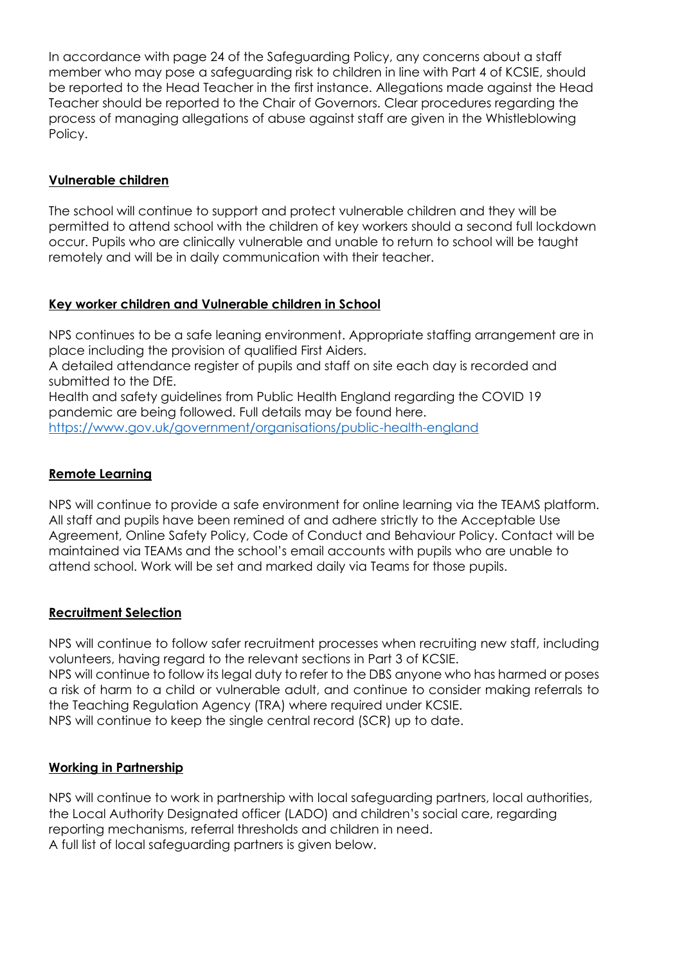In accordance with page 24 of the Safeguarding Policy, any concerns about a staff member who may pose a safeguarding risk to children in line with Part 4 of KCSIE, should be reported to the Head Teacher in the first instance. Allegations made against the Head Teacher should be reported to the Chair of Governors. Clear procedures regarding the process of managing allegations of abuse against staff are given in the Whistleblowing Policy.

## **Vulnerable children**

The school will continue to support and protect vulnerable children and they will be permitted to attend school with the children of key workers should a second full lockdown occur. Pupils who are clinically vulnerable and unable to return to school will be taught remotely and will be in daily communication with their teacher.

### **Key worker children and Vulnerable children in School**

NPS continues to be a safe leaning environment. Appropriate staffing arrangement are in place including the provision of qualified First Aiders.

A detailed attendance register of pupils and staff on site each day is recorded and submitted to the DfE.

Health and safety guidelines from Public Health England regarding the COVID 19 pandemic are being followed. Full details may be found here. <https://www.gov.uk/government/organisations/public-health-england>

### **Remote Learning**

NPS will continue to provide a safe environment for online learning via the TEAMS platform. All staff and pupils have been remined of and adhere strictly to the Acceptable Use Agreement, Online Safety Policy, Code of Conduct and Behaviour Policy. Contact will be maintained via TEAMs and the school's email accounts with pupils who are unable to attend school. Work will be set and marked daily via Teams for those pupils.

#### **Recruitment Selection**

NPS will continue to follow safer recruitment processes when recruiting new staff, including volunteers, having regard to the relevant sections in Part 3 of KCSIE. NPS will continue to follow its legal duty to refer to the DBS anyone who has harmed or poses a risk of harm to a child or vulnerable adult, and continue to consider making referrals to the Teaching Regulation Agency (TRA) where required under KCSIE. NPS will continue to keep the single central record (SCR) up to date.

## **Working in Partnership**

NPS will continue to work in partnership with local safeguarding partners, local authorities, the Local Authority Designated officer (LADO) and children's social care, regarding reporting mechanisms, referral thresholds and children in need. A full list of local safeguarding partners is given below.